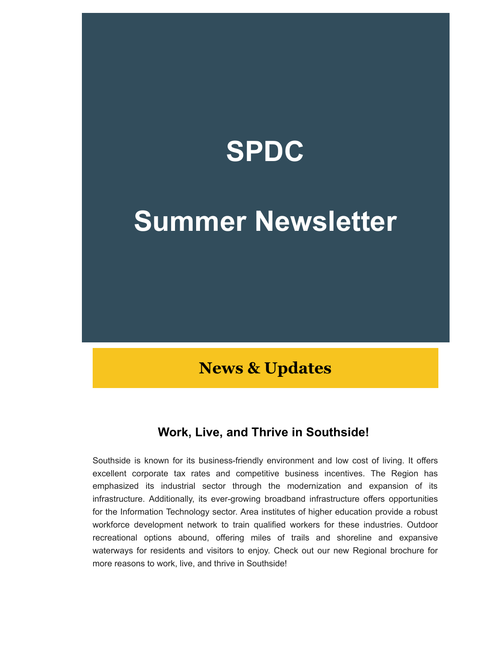

# **Summer Newsletter**

### **News & Updates**

#### **Work, Live, and Thrive in Southside!**

Southside is known for its business-friendly environment and low cost of living. It offers excellent corporate tax rates and competitive business incentives. The Region has emphasized its industrial sector through the modernization and expansion of its infrastructure. Additionally, its ever-growing broadband infrastructure offers opportunities for the Information Technology sector. Area institutes of higher education provide a robust workforce development network to train qualified workers for these industries. Outdoor recreational options abound, offering miles of trails and shoreline and expansive waterways for residents and visitors to enjoy. Check out our new Regional brochure for more reasons to work, live, and thrive in Southside!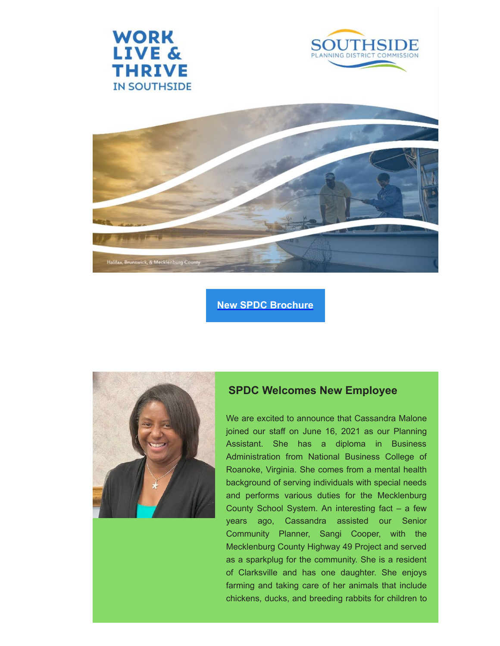





#### **[New SPDC Brochure](https://southsidepdc.us12.list-manage.com/track/click?u=96a47b8917b95330459b800d1&id=520ab1de5d&e=54dc6fb7e6)**



#### **SPDC Welcomes New Employee**

We are excited to announce that Cassandra Malone joined our staff on June 16, 2021 as our Planning Assistant. She has a diploma in Business Administration from National Business College of Roanoke, Virginia. She comes from a mental health background of serving individuals with special needs and performs various duties for the Mecklenburg County School System. An interesting fact – a few years ago, Cassandra assisted our Senior Community Planner, Sangi Cooper, with the Mecklenburg County Highway 49 Project and served as a sparkplug for the community. She is a resident of Clarksville and has one daughter. She enjoys farming and taking care of her animals that include chickens, ducks, and breeding rabbits for children to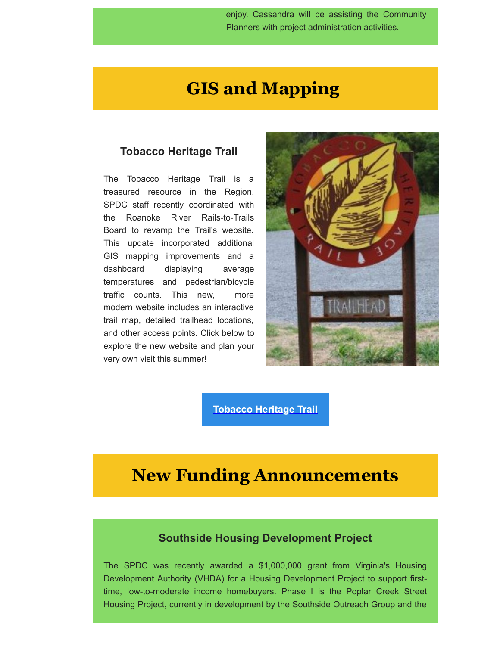enjoy. Cassandra will be assisting the Community Planners with project administration activities.

### **GIS and Mapping**

#### **Tobacco Heritage Trail**

The Tobacco Heritage Trail is a treasured resource in the Region. SPDC staff recently coordinated with the Roanoke River Rails-to-Trails Board to revamp the Trail's website. This update incorporated additional GIS mapping improvements and a dashboard displaying average temperatures and pedestrian/bicycle traffic counts. This new, more modern website includes an interactive trail map, detailed trailhead locations, and other access points. Click below to explore the new website and plan your very own visit this summer!



**[Tobacco Heritage Trail](https://southsidepdc.us12.list-manage.com/track/click?u=96a47b8917b95330459b800d1&id=cc78d23a74&e=54dc6fb7e6)**

### **New Funding Announcements**

#### **Southside Housing Development Project**

The SPDC was recently awarded a \$1,000,000 grant from Virginia's Housing Development Authority (VHDA) for a Housing Development Project to support firsttime, low-to-moderate income homebuyers. Phase I is the Poplar Creek Street Housing Project, currently in development by the Southside Outreach Group and the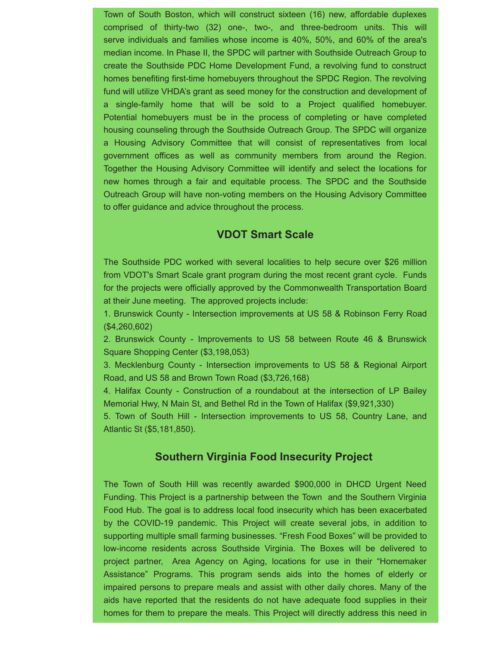Town of South Boston, which will construct sixteen (16) new, affordable duplexes comprised of thirty-two (32) one-, two-, and three-bedroom units. This will serve individuals and families whose income is 40%, 50%, and 60% of the area's median income. In Phase II, the SPDC will partner with Southside Outreach Group to create the Southside PDC Home Development Fund, a revolving fund to construct homes benefiting first-time homebuyers throughout the SPDC Region. The revolving fund will utilize VHDA's grant as seed money for the construction and development of a single-family home that will be sold to a Project qualified homebuyer. Potential homebuyers must be in the process of completing or have completed housing counseling through the Southside Outreach Group. The SPDC will organize a Housing Advisory Committee that will consist of representatives from local government offices as well as community members from around the Region. Together the Housing Advisory Committee will identify and select the locations for new homes through a fair and equitable process. The SPDC and the Southside Outreach Group will have non-voting members on the Housing Advisory Committee to offer guidance and advice throughout the process.

#### **VDOT Smart Scale**

The Southside PDC worked with several localities to help secure over \$26 million from VDOT's Smart Scale grant program during the most recent grant cycle. Funds for the projects were officially approved by the Commonwealth Transportation Board at their June meeting. The approved projects include:

1. Brunswick County - Intersection improvements at US 58 & Robinson Ferry Road (\$4,260,602)

2. Brunswick County - Improvements to US 58 between Route 46 & Brunswick Square Shopping Center (\$3,198,053)

3. Mecklenburg County - Intersection improvements to US 58 & Regional Airport Road, and US 58 and Brown Town Road (\$3,726,168)

4. Halifax County - Construction of a roundabout at the intersection of LP Bailey Memorial Hwy, N Main St, and Bethel Rd in the Town of Halifax (\$9,921,330)

5. Town of South Hill - Intersection improvements to US 58, Country Lane, and Atlantic St (\$5,181,850).

#### **Southern Virginia Food Insecurity Project**

The Town of South Hill was recently awarded \$900,000 in DHCD Urgent Need Funding. This Project is a partnership between the Town and the Southern Virginia Food Hub. The goal is to address local food insecurity which has been exacerbated by the COVID-19 pandemic. This Project will create several jobs, in addition to supporting multiple small farming businesses. "Fresh Food Boxes" will be provided to low-income residents across Southside Virginia. The Boxes will be delivered to project partner, Area Agency on Aging, locations for use in their "Homemaker Assistance" Programs. This program sends aids into the homes of elderly or impaired persons to prepare meals and assist with other daily chores. Many of the aids have reported that the residents do not have adequate food supplies in their homes for them to prepare the meals. This Project will directly address this need in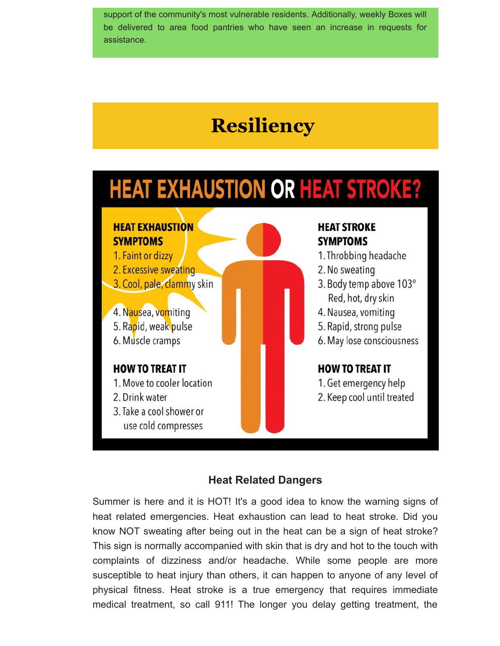support of the community's most vulnerable residents. Additionally, weekly Boxes will be delivered to area food pantries who have seen an increase in requests for assistance.

## **Resiliency**

## **HEAT EXHAUSTION OR HEAT STROKE?**

#### **HEAT EXHAUSTION HEAT STROKE SYMPTOMS SYMPTOMS** 1. Faint or dizzy 1. Throbbing headache 2. Excessive sweating 2. No sweating 3. Cool, pale, clammy skin 3. Body temp above 103° Red, hot, dry skin 4. Nausea, vomiting 4. Nausea, vomiting 5. Rapid, weak pulse 5. Rapid, strong pulse 6. Muscle cramps 6. May lose consciousness **HOW TO TREAT IT HOW TO TREAT IT** 1. Move to cooler location 1. Get emergency help 2. Drink water 2. Keep cool until treated 3. Take a cool shower or use cold compresses

#### **Heat Related Dangers**

Summer is here and it is HOT! It's a good idea to know the warning signs of heat related emergencies. Heat exhaustion can lead to heat stroke. Did you know NOT sweating after being out in the heat can be a sign of heat stroke? This sign is normally accompanied with skin that is dry and hot to the touch with complaints of dizziness and/or headache. While some people are more susceptible to heat injury than others, it can happen to anyone of any level of physical fitness. Heat stroke is a true emergency that requires immediate medical treatment, so call 911! The longer you delay getting treatment, the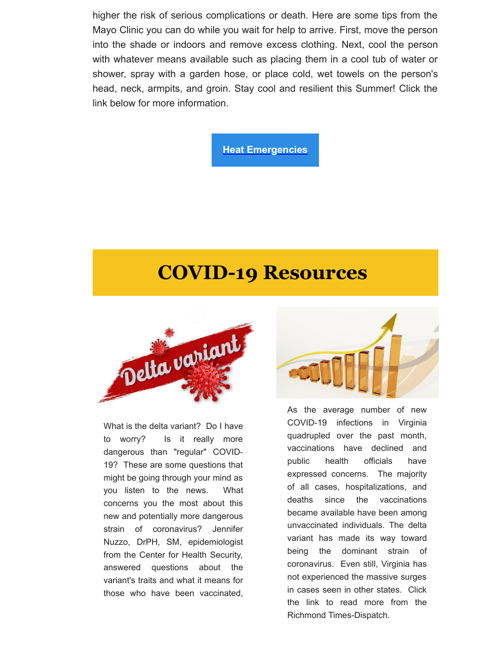higher the risk of serious complications or death. Here are some tips from the Mayo Clinic you can do while you wait for help to arrive. First, move the person into the shade or indoors and remove excess clothing. Next, cool the person with whatever means available such as placing them in a cool tub of water or shower, spray with a garden hose, or place cold, wet towels on the person's head, neck, armpits, and groin. Stay cool and resilient this Summer! Click the link below for more information.

**[Heat Emergencies](https://southsidepdc.us12.list-manage.com/track/click?u=96a47b8917b95330459b800d1&id=0fa9178bd5&e=54dc6fb7e6)**

## **COVID-19 Resources**



What is the delta variant? Do I have to worry? Is it really more dangerous than "regular" COVID-19? These are some questions that might be going through your mind as you listen to the news. What concerns you the most about this new and potentially more dangerous strain of coronavirus? Jennifer Nuzzo, DrPH, SM, epidemiologist from the Center for Health Security, answered questions about the variant's traits and what it means for those who have been vaccinated,



As the average number of new COVID-19 infections in Virginia quadrupled over the past month, vaccinations have declined and public health officials have expressed concerns. The majority of all cases, hospitalizations, and deaths since the vaccinations became available have been among unvaccinated individuals. The delta variant has made its way toward being the dominant strain of coronavirus. Even still, Virginia has not experienced the massive surges in cases seen in other states. Click the link to read more from the Richmond Times-Dispatch.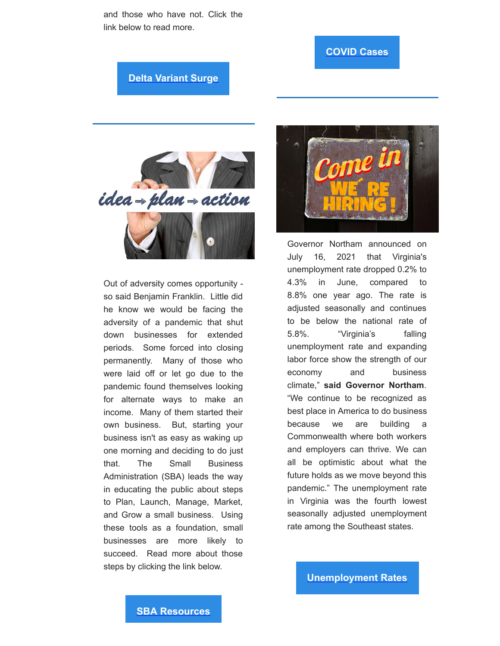and those who have not. Click the link below to read more.

#### **[COVID Cases](https://southsidepdc.us12.list-manage.com/track/click?u=96a47b8917b95330459b800d1&id=f5a8826f5d&e=54dc6fb7e6)**

**[Delta Variant Surge](https://southsidepdc.us12.list-manage.com/track/click?u=96a47b8917b95330459b800d1&id=a84b7f01a6&e=54dc6fb7e6)**



Out of adversity comes opportunity so said Benjamin Franklin. Little did he know we would be facing the adversity of a pandemic that shut down businesses for extended periods. Some forced into closing permanently. Many of those who were laid off or let go due to the pandemic found themselves looking for alternate ways to make an income. Many of them started their own business. But, starting your business isn't as easy as waking up one morning and deciding to do just that. The Small Business Administration (SBA) leads the way in educating the public about steps to Plan, Launch, Manage, Market, and Grow a small business. Using these tools as a foundation, small businesses are more likely to succeed. Read more about those steps by clicking the link below.



Governor Northam announced on July 16, 2021 that Virginia's unemployment rate dropped 0.2% to 4.3% in June, compared to 8.8% one year ago. The rate is adjusted seasonally and continues to be below the national rate of 5.8%. "Virginia's falling unemployment rate and expanding labor force show the strength of our economy and business climate," **said Governor Northam**. "We continue to be recognized as best place in America to do business because we are building a Commonwealth where both workers and employers can thrive. We can all be optimistic about what the future holds as we move beyond this pandemic." The unemployment rate in Virginia was the fourth lowest seasonally adjusted unemployment rate among the Southeast states.

**[Unemployment Rates](https://southsidepdc.us12.list-manage.com/track/click?u=96a47b8917b95330459b800d1&id=6c3b94652f&e=54dc6fb7e6)**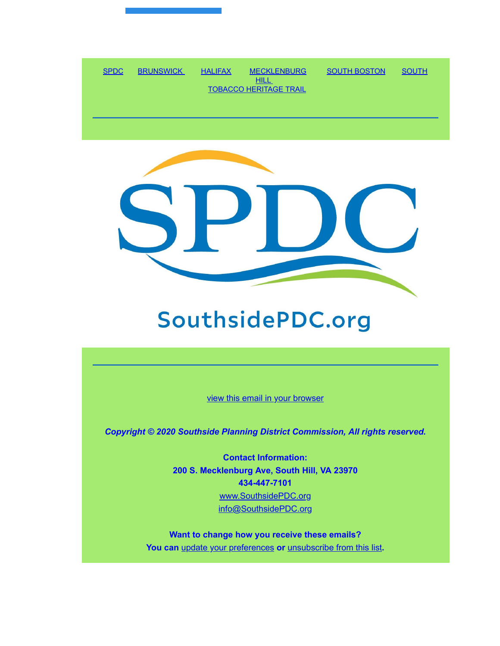



## SouthsidePDC.org

[view this email in your browser](https://mailchi.mp/577f026309aa/summer-newsletter?e=54dc6fb7e6)

*Copyright © 2020 Southside Planning District Commission, All rights reserved.*

**Contact Information: 200 S. Mecklenburg Ave, South Hill, VA 23970 434-447-7101** [www.SouthsidePDC.org](http://www.southsidepdc.org/) [info@SouthsidePDC.org](mailto:info@SouthsidePDC.org)

**Want to change how you receive these emails? You can** [update your preferences](https://southsidepdc.us12.list-manage.com/profile?u=96a47b8917b95330459b800d1&id=39127ac864&e=54dc6fb7e6&c=47ce9f09e8) **or** [unsubscribe from this list](https://southsidepdc.us12.list-manage.com/unsubscribe?u=96a47b8917b95330459b800d1&id=39127ac864&e=54dc6fb7e6&c=47ce9f09e8)**.**